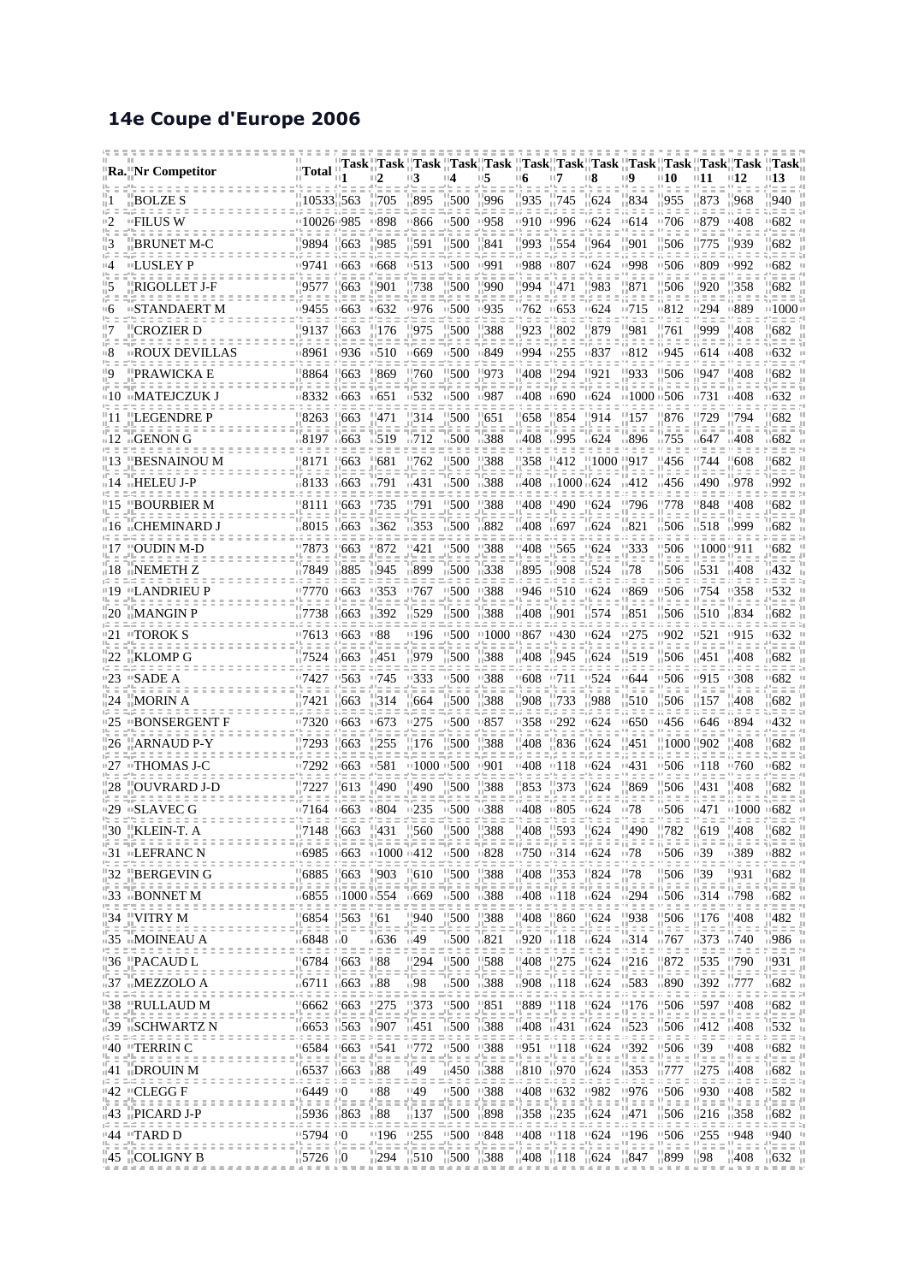## **14e Coupe d'Europe 2006**

|       | Ra.    Nr Competitor                                                                                                                                                                                                                                                                                                                                             | ''Total                                                                         |                                                                |                                               | Task "Task "Task "Task" Task "Task" Task "Task "Task "Task "Task" Task "Task "Task                                                                                                                                                                                                                  |                     |                                                                                                             |            |                                                          |                                                                                 |                                              |                                              |                  |                    |                        |
|-------|------------------------------------------------------------------------------------------------------------------------------------------------------------------------------------------------------------------------------------------------------------------------------------------------------------------------------------------------------------------|---------------------------------------------------------------------------------|----------------------------------------------------------------|-----------------------------------------------|-----------------------------------------------------------------------------------------------------------------------------------------------------------------------------------------------------------------------------------------------------------------------------------------------------|---------------------|-------------------------------------------------------------------------------------------------------------|------------|----------------------------------------------------------|---------------------------------------------------------------------------------|----------------------------------------------|----------------------------------------------|------------------|--------------------|------------------------|
|       |                                                                                                                                                                                                                                                                                                                                                                  |                                                                                 |                                                                |                                               |                                                                                                                                                                                                                                                                                                     |                     |                                                                                                             |            |                                                          |                                                                                 |                                              |                                              |                  |                    |                        |
|       | BOLZE S                                                                                                                                                                                                                                                                                                                                                          | 10533.563                                                                       |                                                                | -705                                          | -895                                                                                                                                                                                                                                                                                                | -500                | '996                                                                                                        | 935        | - 745                                                    | - 624                                                                           | -834                                         | 955                                          | 873              | 968                | 940                    |
|       | □FILUS W                                                                                                                                                                                                                                                                                                                                                         | □10026□985                                                                      |                                                                | ∘898                                          | '866                                                                                                                                                                                                                                                                                                | 1500                | ∘958                                                                                                        | □910       | □996                                                     | $-624$                                                                          | ™614                                         | 1706                                         | □879             | □408               | ∘682                   |
|       | BRUNET M-C                                                                                                                                                                                                                                                                                                                                                       | -9894                                                                           | 663                                                            | 985                                           | 591                                                                                                                                                                                                                                                                                                 | 500                 | 841                                                                                                         | 993        | 554                                                      | '964                                                                            | -901                                         | 506                                          | 775              | 939                | 682                    |
|       | □LUSLEY P                                                                                                                                                                                                                                                                                                                                                        | □9741                                                                           | ∘663                                                           | ∘668                                          | ∙513                                                                                                                                                                                                                                                                                                | □500                | ∘991                                                                                                        | □988       | □807                                                     | $-624$                                                                          | □998                                         | 506                                          | □809             | ∍992               | ∘682                   |
|       | RIGOLLET J-F                                                                                                                                                                                                                                                                                                                                                     | -9577                                                                           | 663                                                            | '901                                          | 738                                                                                                                                                                                                                                                                                                 | 500                 | 990                                                                                                         | '994       | '471                                                     | 983                                                                             | -871                                         | 506                                          | 920              | 358                | 682                    |
| படு   | □STANDAERT M                                                                                                                                                                                                                                                                                                                                                     | 119455                                                                          | ⊞663                                                           | 832≡                                          | □976                                                                                                                                                                                                                                                                                                | 1500                | ∘935                                                                                                        | 1762       | $-653$                                                   | $-624$                                                                          | □715                                         | 812                                          | □294             | □889               | -1000                  |
|       | CROZIER D                                                                                                                                                                                                                                                                                                                                                        | 9137                                                                            | 663                                                            | 176                                           | 975                                                                                                                                                                                                                                                                                                 | 500                 | 388                                                                                                         | 923        | 802                                                      | -879                                                                            | 981                                          | 761                                          | 999              | 408                | 682                    |
|       | ROUX DEVILLAS                                                                                                                                                                                                                                                                                                                                                    | □8961                                                                           | ⊞936                                                           | 1510                                          | ⊞669                                                                                                                                                                                                                                                                                                | 1500                | ⊞849                                                                                                        | □994       | $\sqrt{255}$                                             | ⊞837                                                                            | □812                                         | 945                                          | ⊪614             | 11408              | 632                    |
|       | PRAWICKA E                                                                                                                                                                                                                                                                                                                                                       | 8864                                                                            | 663                                                            | 869                                           | 760                                                                                                                                                                                                                                                                                                 | 500                 | 973                                                                                                         | 408        | 294                                                      |                                                                                 | 933                                          | 506                                          | 947              | 408                | 682                    |
|       | □MATEJCZUK J                                                                                                                                                                                                                                                                                                                                                     | □8332                                                                           | 1663                                                           | □651                                          | □532                                                                                                                                                                                                                                                                                                | 1500                | 87∍⊩                                                                                                        | □408       | □690                                                     | 11624                                                                           | $\scriptstyle\pm 1000$ $\scriptstyle\pm 506$ |                                              | □731             | □408               | 632                    |
|       | ''LEGENDRE P                                                                                                                                                                                                                                                                                                                                                     | 8263                                                                            | 663                                                            | 471                                           | 314                                                                                                                                                                                                                                                                                                 | 500                 | 651                                                                                                         | 658        | 854                                                      | -914                                                                            | 157                                          | 876                                          | 729              | 794                | 682                    |
|       | ⊞GENON G                                                                                                                                                                                                                                                                                                                                                         | □8197                                                                           | $+663$                                                         | □519                                          | □712                                                                                                                                                                                                                                                                                                | 1500                | ⊪388                                                                                                        | ⊪408       | ⊪995                                                     | 11624                                                                           | ⊞896                                         | □755                                         | ⊪647             | □408               | ⊪682                   |
|       | HESNAINOU M                                                                                                                                                                                                                                                                                                                                                      | 8171                                                                            | 663                                                            | 681                                           | 762                                                                                                                                                                                                                                                                                                 | 500                 | 388                                                                                                         | .358       | -412                                                     | 1000 917                                                                        |                                              | 456                                          | . 744            | 608                | 682                    |
|       | ս14 տHELEU J-P                                                                                                                                                                                                                                                                                                                                                   | ⊪8133                                                                           | $\sqrt{663}$                                                   | ∍791                                          | $\Box$ 431                                                                                                                                                                                                                                                                                          | 1500                | 1388                                                                                                        | ⊪408       | $\scriptstyle\pm 1000$ $\scriptstyle\pm 624$             |                                                                                 | n412                                         | ⊪456                                         | ⊪490             | ⊪978               | 992                    |
| ' 15  | ABOURBIER M                                                                                                                                                                                                                                                                                                                                                      | -8111                                                                           | 663                                                            | '735                                          | '791                                                                                                                                                                                                                                                                                                | "500                | ''388                                                                                                       | ''408      | "490                                                     | - 624                                                                           | ''796                                        | 778                                          | '848             | '408               | 682                    |
|       | ⊤16  ⊤∟CHEMINARD J                                                                                                                                                                                                                                                                                                                                               | ⊪8015                                                                           | ⊪663                                                           | ⊪362                                          | ⊪353                                                                                                                                                                                                                                                                                                | $\overline{500}$    | ⊪882                                                                                                        | ⊩408       | ⊪697                                                     | $\sqrt{624}$                                                                    | ⊪821                                         | 506                                          | $\sqrt{518}$     | ⊤999               | 682                    |
|       | <b>"OUDIN M-D</b>                                                                                                                                                                                                                                                                                                                                                | '7873                                                                           | 663                                                            | 872                                           | 421                                                                                                                                                                                                                                                                                                 | 500                 | '388                                                                                                        | ''408      | "565                                                     | "624                                                                            | ''333                                        | 506                                          | 1000 911         |                    | 682                    |
|       | 18 TNEMETH Z                                                                                                                                                                                                                                                                                                                                                     | ⊪7849                                                                           | ⊪885                                                           | 1945                                          | ⊞899                                                                                                                                                                                                                                                                                                | $\overline{1500}$   | 11338                                                                                                       | ⊞895       | ⊞908                                                     | $\frac{1}{11}$ 524                                                              | ⊪78                                          | 506                                          | 1.531            | $\overline{11408}$ | $-432$                 |
|       | '19  "LANDRIEU P                                                                                                                                                                                                                                                                                                                                                 | 7770-                                                                           | "663                                                           | "353                                          | "767                                                                                                                                                                                                                                                                                                | "500                | !!388                                                                                                       | ''946      | 1510                                                     | "624                                                                            | '869                                         | 506                                          | "754             | ''358              | 532                    |
|       | ⊧20- ⊓MANGIN P                                                                                                                                                                                                                                                                                                                                                   | ⊪7738                                                                           | ⊪663                                                           | 1392                                          | 1529                                                                                                                                                                                                                                                                                                | - 500               | 388                                                                                                         | 1408       | ⊞901                                                     | 1.574                                                                           | - 851                                        | 506                                          | $\overline{510}$ | ⊪834               | ⊪682                   |
|       | #TOROK S                                                                                                                                                                                                                                                                                                                                                         | '7613                                                                           | 663                                                            | '88                                           | '196                                                                                                                                                                                                                                                                                                | '500                | '1000                                                                                                       | "867       | "430                                                     | "624                                                                            | '275                                         | 902                                          | 521              | '915               | 632                    |
|       | <b>TKLOMP G</b>                                                                                                                                                                                                                                                                                                                                                  | - 7524                                                                          | -663                                                           | -451                                          | -979                                                                                                                                                                                                                                                                                                | - 500               | - 388                                                                                                       | -408       | - 945                                                    | $\sqrt{624}$                                                                    | -519                                         | 506                                          | $-451$           | -408               | 682                    |
| 23    | ™SADE A                                                                                                                                                                                                                                                                                                                                                          | '7427                                                                           | '563                                                           | 1745                                          | □333                                                                                                                                                                                                                                                                                                | 1500                | '388                                                                                                        | '608       | "711                                                     | ™524                                                                            | ™644                                         | 506                                          | '915             | '308               | 682                    |
| 24    | $\parallel$ MORIN A                                                                                                                                                                                                                                                                                                                                              | 7421                                                                            | -663                                                           | -314                                          | 664                                                                                                                                                                                                                                                                                                 | $\sim 500$          | . 388                                                                                                       | 908        | $\frac{1}{11}$ 733                                       | 1988                                                                            | - 510                                        | 506                                          | ii 157           | -408               | 682                    |
|       | #BONSERGENT F                                                                                                                                                                                                                                                                                                                                                    | □7320                                                                           | ™663                                                           | □673                                          | 275                                                                                                                                                                                                                                                                                                 | $1500 -$            | ⊞857                                                                                                        | □358.      | 11292                                                    | $-624$                                                                          | $-650$                                       | ⊧456                                         | ™646             | ⊞894               | □432                   |
| 26    | <b>ARNAUD P-Y</b>                                                                                                                                                                                                                                                                                                                                                | 7293                                                                            | 663                                                            | 255                                           | 176                                                                                                                                                                                                                                                                                                 | - 500               | 388                                                                                                         | 408        | - 836                                                    | $-624$                                                                          | . 451                                        | 1000 902                                     |                  | 408                | 682                    |
|       | +27 + THOMAS J-C                                                                                                                                                                                                                                                                                                                                                 | 117292                                                                          | ⊞663                                                           | □581                                          | $\scriptstyle\pm 1000$ $\scriptstyle\pm 500$                                                                                                                                                                                                                                                        |                     | ≡901                                                                                                        | □408       | $-118$ $-1624$                                           |                                                                                 | 1431                                         | 506                                          | $-118$           | ⊞760               | □682                   |
| 28.   | 'OUVRARD J-D                                                                                                                                                                                                                                                                                                                                                     | 7227                                                                            | 613                                                            | 490                                           | 490                                                                                                                                                                                                                                                                                                 | 500                 | 388                                                                                                         | 853        | 373                                                      | -624                                                                            | -869                                         | 506                                          | 431              | 408                | 682                    |
| ∘29   | □SLAVEC G                                                                                                                                                                                                                                                                                                                                                        | □7164                                                                           | □663                                                           | □804                                          | □235                                                                                                                                                                                                                                                                                                | 1500                | □388                                                                                                        | □408       | 1805                                                     | 11624                                                                           | ≔78                                          | 506                                          | - 471            | +1000              | ≡682                   |
|       | $^{\prime\prime}$ 30 $^{\prime\prime}$ KLEIN-T. A<br><u> 1999 - Jacques Lesse, propier de la finite</u>                                                                                                                                                                                                                                                          | $ 7148 $ 663                                                                    |                                                                | $^{1431}$                                     | $\frac{1560}{1500}$ $\frac{1500}{1388}$                                                                                                                                                                                                                                                             |                     |                                                                                                             |            | $1408$ 593 624                                           |                                                                                 | $^{+1490}$                                   | $\frac{11}{11}$ 782                          | $^{+619}$        | $\frac{11}{11}408$ | $\frac{11}{11}$ 682    |
|       | #31 #LEFRANC N                                                                                                                                                                                                                                                                                                                                                   |                                                                                 |                                                                |                                               | н6985 н663 н1000 н412 н500 н828 н750 н314 н624 н78                                                                                                                                                                                                                                                  |                     |                                                                                                             |            |                                                          |                                                                                 |                                              | (中国第二十二節二十二節二十二節二十二節)                        |                  |                    | - ⊩882 - ⊢             |
|       | $^{11}_{11}$ 32 $^{11}_{11}$ BERGEVIN G<br>. = = = = = = =                                                                                                                                                                                                                                                                                                       | $6885$ 663                                                                      |                                                                | -903                                          | 610                                                                                                                                                                                                                                                                                                 | $^{11}_{11}$ 500    | $^{1388}$                                                                                                   |            | "408 "353 "824"                                          |                                                                                 | $^{\prime\prime}78$                          | 506                                          | - 39             | -931               | 682                    |
|       | <b>033 OBONNET M</b><br>15 = = 5 = = = = = = = =                                                                                                                                                                                                                                                                                                                 | 19 o o o                                                                        |                                                                |                                               | 06855 +1000+554 +1669 +1500 +1388                                                                                                                                                                                                                                                                   |                     |                                                                                                             |            |                                                          | $\frac{11408}{1118}$ $\frac{118}{1624}$ $\frac{1294}{1294}$                     |                                              | - ≔506 = ⊨314 = ⊨798                         |                  |                    | $\sqrt{682}$           |
|       | $\frac{134}{15} = \frac{11}{15} = \frac{11}{15} = \frac{11}{15} = \frac{11}{15} = \frac{11}{15} = \frac{11}{15} = \frac{11}{15} = \frac{11}{15} = \frac{11}{15} = \frac{11}{15} = \frac{11}{15} = \frac{11}{15} = \frac{11}{15} = \frac{11}{15} = \frac{11}{15} = \frac{11}{15} = \frac{11}{15} = \frac{11}{15} = \frac{11}{15} = \frac{11}{15} = \frac{11}{15}$ | $\frac{1}{2}$ 6854 $\frac{1}{2}$ 563<br>$\frac{1}{2}$ = = = $\frac{1}{2}$ = = = |                                                                | $\frac{1}{2}$ 61                              | - 940                                                                                                                                                                                                                                                                                               | $\frac{1500}{1388}$ |                                                                                                             |            |                                                          | $\frac{11}{11}$ 408 $\frac{11}{11}$ 860 $\frac{11}{11}$ 624 $\frac{11}{11}$ 938 |                                              | 506                                          | 176              | . 408              | 482<br>gje e e         |
|       | #35 #MOINEAU A<br>10000000000000                                                                                                                                                                                                                                                                                                                                 | $\scriptstyle\pm 6848$ $\scriptstyle\pm 0$                                      | <b>DOCUMENT DE COMPANY</b>                                     | $\frac{1}{2} \frac{1}{2} = 0 = 0$<br>⊞636 ⊞49 | 않는 미미 피곤 미미?                                                                                                                                                                                                                                                                                        | $\pm 500$ $\pm 821$ | 남편 피도.                                                                                                      |            |                                                          |                                                                                 |                                              | 1986 1920 1118 11624 11714 11767 11773 11740 | コココ 谷中中央谷        | コココ                |                        |
| : = : | $\frac{1}{2}$ 36 PACAUD L<br>dhe e e e e e e e e e                                                                                                                                                                                                                                                                                                               |                                                                                 | $\frac{116784}{11}$ = $\frac{11663}{11}$ = $\frac{1188}{11}$ = |                                               | $\begin{array}{ccccccccc}\n 88 & 1294 & 1500 & 1588 & 1408 & 1275 & 1624 & 1216 & 1872 & 1535 & 1790 \\ \hline\n\frac{1}{155} & 1 & 1555 & 1555 & 1555 & 1408 & 1275 & 1624 & 1216 & 1872 & 1535 & 1790 \\ \hline\n\frac{1}{155} & 1 & 1555 & 1555 & 1555 & 1555 & 1555 & 1555 & 1555 & 1555 & 155$ |                     |                                                                                                             |            |                                                          |                                                                                 |                                              |                                              |                  |                    | $^{11}931$             |
|       | #37 #MEZZOLO A<br>10 = = 0 = 0 = 0 = 0 = 0 = 0 = 0                                                                                                                                                                                                                                                                                                               |                                                                                 | ⊞6711 ⊞663 ⊞88                                                 |                                               | ⊪98                                                                                                                                                                                                                                                                                                 |                     | ii500 ii388 ii908 ii118 ii624 ii583 ii890 ii392 ii777                                                       |            |                                                          |                                                                                 |                                              |                                              |                  |                    | ge e e<br>$\sqrt{682}$ |
| Ш     | "38 "RULLAUD M                                                                                                                                                                                                                                                                                                                                                   |                                                                                 |                                                                |                                               | $\frac{116662}{17663}$ $\frac{11275}{1252}$ $\frac{11373}{1762}$ $\frac{11500}{17626}$ $\frac{11889}{17624}$ $\frac{1118}{11624}$ $\frac{11624}{17624}$ $\frac{11506}{17624}$ $\frac{11597}{17624}$ $\frac{11088}{17624}$ $\frac{1118}{17624}$ $\frac{1116}{17624}$ $\frac{1116}{$                  |                     |                                                                                                             |            |                                                          |                                                                                 |                                              |                                              | $= 1.100$        |                    | - 682                  |
| -2.2  | #39-#SCHWARTZ N<br>.                                                                                                                                                                                                                                                                                                                                             |                                                                                 |                                                                |                                               | 11500 11563 11907 11451 11500 11388                                                                                                                                                                                                                                                                 |                     |                                                                                                             |            |                                                          |                                                                                 |                                              | 1408 1412 1506 1523 1504 1408 1412           |                  |                    | コココ                    |
|       |                                                                                                                                                                                                                                                                                                                                                                  |                                                                                 |                                                                |                                               |                                                                                                                                                                                                                                                                                                     |                     |                                                                                                             |            |                                                          |                                                                                 |                                              | $-1506$ $-139$ $-1408$<br>$\frac{1}{2}$      |                  |                    | 11682                  |
|       | $\parallel$ 41 $\parallel$ DROUIN M                                                                                                                                                                                                                                                                                                                              |                                                                                 | $116537$ $11663$ $1188$                                        |                                               | 1149                                                                                                                                                                                                                                                                                                |                     | $_{11}$ 450 $_{11}$ 388 $_{11}$ 810 $_{11}$ 970 $_{11}$ 624 $_{11}$ 353 $_{11}$ 777 $_{11}$ 275 $_{11}$ 408 |            |                                                          |                                                                                 | コロココ                                         |                                              |                  |                    | ∜¦= = =<br>$11682$ 1   |
| 백소 :  | ,,,,,,,,,,,,,,,,<br><sup>11</sup> 42 <sup>11</sup> CLEGG F                                                                                                                                                                                                                                                                                                       | $-6449 - 0$<br>greenge                                                          |                                                                | "88<br>8월 2 5 8월 2 5                          | <u>.</u><br><sup>11</sup> 49                                                                                                                                                                                                                                                                        | "500 "388           | ニニニコ                                                                                                        | 2. 2. 2. 2 | 11408 11632 11982                                        |                                                                                 | 11976<br>$\Omega_{\rm eff}$                  | .<br>- 506 - 1930 - 1408                     | .                |                    | 11582                  |
| Ш     | <u>grafia de esp</u><br>$\parallel$ 43 $\parallel$ PICARD J-P                                                                                                                                                                                                                                                                                                    | п.<br>$15936$ $1863$                                                            |                                                                | $\sqrt{88}$                                   | ТT<br>$\frac{137}{1137}$ 500 $\frac{1898}{100}$                                                                                                                                                                                                                                                     |                     |                                                                                                             |            | $\frac{1}{11}$ 358 $\frac{1}{11}$ 235 $\frac{1}{11}$ 624 |                                                                                 | $-1471$                                      | = = :<br>$-1506$ $-1216$ $-1358$             | : = :            |                    | ロロロ<br>- 682           |
|       | .<br>#44 #TARD D<br>it digit de de de de de de de de d                                                                                                                                                                                                                                                                                                           | $\frac{115794}{10}$<br>iji didin                                                |                                                                |                                               | ‼196 ⊞255 ‼500 ‼848                                                                                                                                                                                                                                                                                 |                     |                                                                                                             |            |                                                          |                                                                                 |                                              |                                              |                  |                    | ≡940                   |
|       | $\parallel$ 45 $\parallel$ COLIGNY B                                                                                                                                                                                                                                                                                                                             | $15726$ 10                                                                      |                                                                |                                               | $\frac{1}{1294}$ $\frac{1}{1510}$ $\frac{1}{1500}$ $\frac{1}{1388}$ $\frac{1}{1408}$ $\frac{1}{118}$ $\frac{1}{1624}$ $\frac{1}{1847}$ $\frac{1}{1899}$ $\frac{1}{198}$ $\frac{1}{1408}$                                                                                                            |                     |                                                                                                             |            |                                                          |                                                                                 |                                              |                                              |                  |                    | $-632$                 |